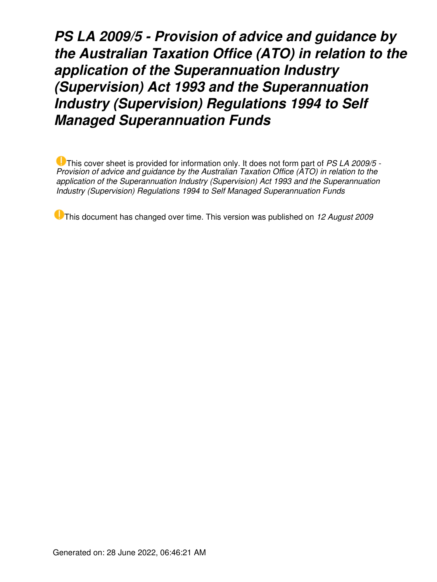*PS LA 2009/5 - Provision of advice and guidance by the Australian Taxation Office (ATO) in relation to the application of the Superannuation Industry (Supervision) Act 1993 and the Superannuation Industry (Supervision) Regulations 1994 to Self Managed Superannuation Funds*

This cover sheet is provided for information only. It does not form part of *PS LA 2009/5 - Provision of advice and guidance by the Australian Taxation Office (ATO) in relation to the application of the Superannuation Industry (Supervision) Act 1993 and the Superannuation Industry (Supervision) Regulations 1994 to Self Managed Superannuation Funds*

This document has changed over time. This version was published on *12 August 2009*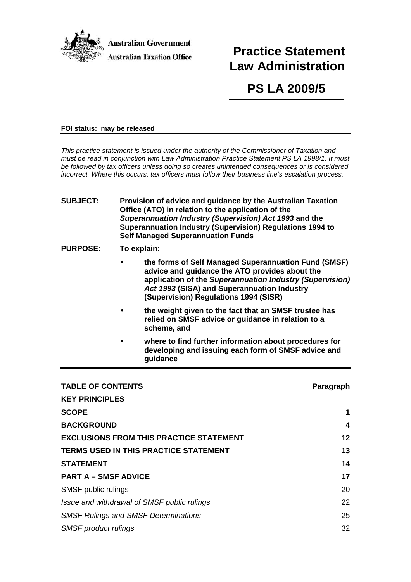

# **Practice Statement Law Administration**

**PS LA 2009/5** 

**draft2009/5**

#### **FOI status: may be released**

This practice statement is issued under the authority of the Commissioner of Taxation and must be read in conjunction with Law Administration Practice Statement PS LA 1998/1. It must be followed by tax officers unless doing so creates unintended consequences or is considered incorrect. Where this occurs, tax officers must follow their business line's escalation process.

## **SUBJECT: Provision of advice and guidance by the Australian Taxation Office (ATO) in relation to the application of the Superannuation Industry (Supervision) Act 1993 and the Superannuation Industry (Supervision) Regulations 1994 to Self Managed Superannuation Funds PURPOSE: To explain:**

- **the forms of Self Managed Superannuation Fund (SMSF) advice and guidance the ATO provides about the application of the Superannuation Industry (Supervision) Act 1993 (SISA) and Superannuation Industry (Supervision) Regulations 1994 (SISR)**
- **the weight given to the fact that an SMSF trustee has relied on SMSF advice or guidance in relation to a scheme, and**
- **where to find further information about procedures for developing and issuing each form of SMSF advice and guidance**

| <b>TABLE OF CONTENTS</b>                       | Paragraph |
|------------------------------------------------|-----------|
| <b>KEY PRINCIPLES</b>                          |           |
| <b>SCOPE</b>                                   | 1         |
| <b>BACKGROUND</b>                              | 4         |
| <b>EXCLUSIONS FROM THIS PRACTICE STATEMENT</b> | 12        |
| <b>TERMS USED IN THIS PRACTICE STATEMENT</b>   | 13        |
| <b>STATEMENT</b>                               | 14        |
| <b>PART A - SMSF ADVICE</b>                    | 17        |
| SMSF public rulings                            | 20        |
| Issue and withdrawal of SMSF public rulings    | 22        |
| <b>SMSF Rulings and SMSF Determinations</b>    | 25        |
| <b>SMSF</b> product rulings                    | 32        |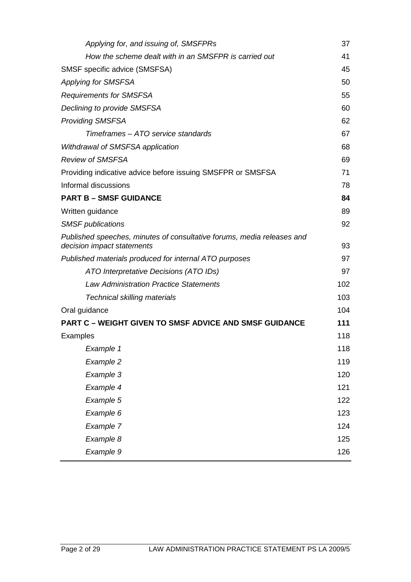| Applying for, and issuing of, SMSFPRs                                                                | 37  |
|------------------------------------------------------------------------------------------------------|-----|
| How the scheme dealt with in an SMSFPR is carried out                                                | 41  |
| SMSF specific advice (SMSFSA)                                                                        | 45  |
| <b>Applying for SMSFSA</b>                                                                           | 50  |
| <b>Requirements for SMSFSA</b>                                                                       | 55  |
| Declining to provide SMSFSA                                                                          | 60  |
| <b>Providing SMSFSA</b>                                                                              | 62  |
| Timeframes – ATO service standards                                                                   | 67  |
| Withdrawal of SMSFSA application                                                                     | 68  |
| <b>Review of SMSFSA</b>                                                                              | 69  |
| Providing indicative advice before issuing SMSFPR or SMSFSA                                          | 71  |
| Informal discussions                                                                                 | 78  |
| <b>PART B - SMSF GUIDANCE</b>                                                                        | 84  |
| Written guidance                                                                                     | 89  |
| <b>SMSF</b> publications                                                                             | 92  |
| Published speeches, minutes of consultative forums, media releases and<br>decision impact statements | 93  |
| Published materials produced for internal ATO purposes                                               | 97  |
| ATO Interpretative Decisions (ATO IDs)                                                               | 97  |
| <b>Law Administration Practice Statements</b>                                                        | 102 |
| <b>Technical skilling materials</b>                                                                  | 103 |
| Oral guidance                                                                                        | 104 |
| <b>PART C - WEIGHT GIVEN TO SMSF ADVICE AND SMSF GUIDANCE</b>                                        | 111 |
| <b>Examples</b>                                                                                      | 118 |
| Example 1                                                                                            | 118 |
| Example 2                                                                                            | 119 |
| Example 3                                                                                            | 120 |
| Example 4                                                                                            | 121 |
| Example 5                                                                                            | 122 |
| Example 6                                                                                            | 123 |
| Example 7                                                                                            | 124 |
| Example 8                                                                                            | 125 |
| Example 9                                                                                            | 126 |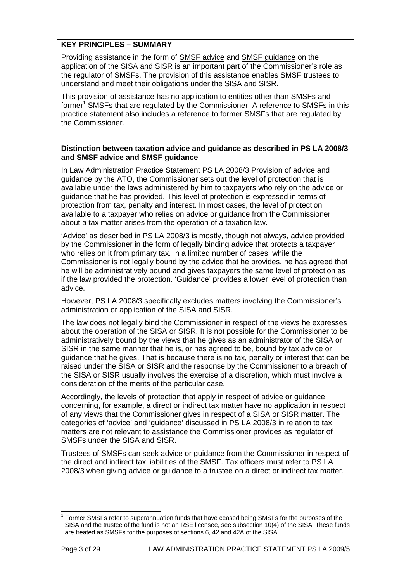#### **KEY PRINCIPLES – SUMMARY**

Providing assistance in the form of SMSF advice and SMSF guidance on the application of the SISA and SISR is an important part of the Commissioner's role as the regulator of SMSFs. The provision of this assistance enables SMSF trustees to understand and meet their obligations under the SISA and SISR.

This provision of assistance has no application to entities other than SMSFs and former<sup>1</sup> SMSFs that are regulated by the Commissioner. A reference to SMSFs in this practice statement also includes a reference to former SMSFs that are regulated by the Commissioner.

#### **Distinction between taxation advice and guidance as described in PS LA 2008/3 and SMSF advice and SMSF guidance**

In Law Administration Practice Statement PS LA 2008/3 Provision of advice and guidance by the ATO, the Commissioner sets out the level of protection that is available under the laws administered by him to taxpayers who rely on the advice or guidance that he has provided. This level of protection is expressed in terms of protection from tax, penalty and interest. In most cases, the level of protection available to a taxpayer who relies on advice or guidance from the Commissioner about a tax matter arises from the operation of a taxation law.

'Advice' as described in PS LA 2008/3 is mostly, though not always, advice provided by the Commissioner in the form of legally binding advice that protects a taxpayer who relies on it from primary tax. In a limited number of cases, while the Commissioner is not legally bound by the advice that he provides, he has agreed that he will be administratively bound and gives taxpayers the same level of protection as if the law provided the protection. 'Guidance' provides a lower level of protection than advice.

However, PS LA 2008/3 specifically excludes matters involving the Commissioner's administration or application of the SISA and SISR.

The law does not legally bind the Commissioner in respect of the views he expresses about the operation of the SISA or SISR. It is not possible for the Commissioner to be administratively bound by the views that he gives as an administrator of the SISA or SISR in the same manner that he is, or has agreed to be, bound by tax advice or guidance that he gives. That is because there is no tax, penalty or interest that can be raised under the SISA or SISR and the response by the Commissioner to a breach of the SISA or SISR usually involves the exercise of a discretion, which must involve a consideration of the merits of the particular case.

Accordingly, the levels of protection that apply in respect of advice or guidance concerning, for example, a direct or indirect tax matter have no application in respect of any views that the Commissioner gives in respect of a SISA or SISR matter. The categories of 'advice' and 'guidance' discussed in PS LA 2008/3 in relation to tax matters are not relevant to assistance the Commissioner provides as regulator of SMSFs under the SISA and SISR.

Trustees of SMSFs can seek advice or guidance from the Commissioner in respect of the direct and indirect tax liabilities of the SMSF. Tax officers must refer to PS LA 2008/3 when giving advice or guidance to a trustee on a direct or indirect tax matter.

l 1 Former SMSFs refer to superannuation funds that have ceased being SMSFs for the purposes of the SISA and the trustee of the fund is not an RSE licensee, see subsection 10(4) of the SISA. These funds are treated as SMSFs for the purposes of sections 6, 42 and 42A of the SISA.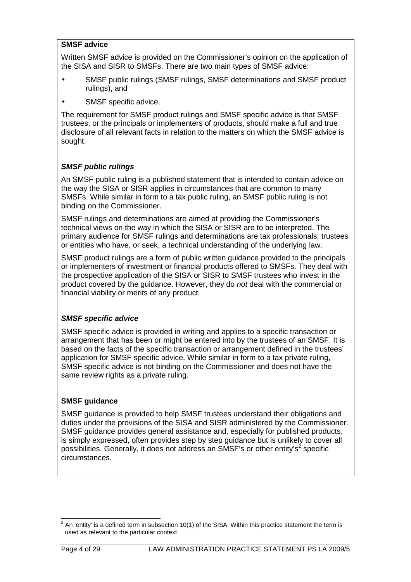#### **SMSF advice**

Written SMSF advice is provided on the Commissioner's opinion on the application of the SISA and SISR to SMSFs. There are two main types of SMSF advice:

- SMSF public rulings (SMSF rulings, SMSF determinations and SMSF product rulings), and
- SMSF specific advice.

The requirement for SMSF product rulings and SMSF specific advice is that SMSF trustees, or the principals or implementers of products, should make a full and true disclosure of all relevant facts in relation to the matters on which the SMSF advice is sought.

## **SMSF public rulings**

An SMSF public ruling is a published statement that is intended to contain advice on the way the SISA or SISR applies in circumstances that are common to many SMSFs. While similar in form to a tax public ruling, an SMSF public ruling is not binding on the Commissioner.

SMSF rulings and determinations are aimed at providing the Commissioner's technical views on the way in which the SISA or SISR are to be interpreted. The primary audience for SMSF rulings and determinations are tax professionals, trustees or entities who have, or seek, a technical understanding of the underlying law.

SMSF product rulings are a form of public written guidance provided to the principals or implementers of investment or financial products offered to SMSFs. They deal with the prospective application of the SISA or SISR to SMSF trustees who invest in the product covered by the guidance. However, they do not deal with the commercial or financial viability or merits of any product.

## **SMSF specific advice**

SMSF specific advice is provided in writing and applies to a specific transaction or arrangement that has been or might be entered into by the trustees of an SMSF. It is based on the facts of the specific transaction or arrangement defined in the trustees' application for SMSF specific advice. While similar in form to a tax private ruling, SMSF specific advice is not binding on the Commissioner and does not have the same review rights as a private ruling.

## **SMSF guidance**

SMSF guidance is provided to help SMSF trustees understand their obligations and duties under the provisions of the SISA and SISR administered by the Commissioner. SMSF guidance provides general assistance and, especially for published products, is simply expressed, often provides step by step guidance but is unlikely to cover all possibilities. Generally, it does not address an SMSF's or other entity's<sup>2</sup> specific circumstances.

 $\overline{a}^2$  An 'entity' is a defined term in subsection 10(1) of the SISA. Within this practice statement the term is used as relevant to the particular context.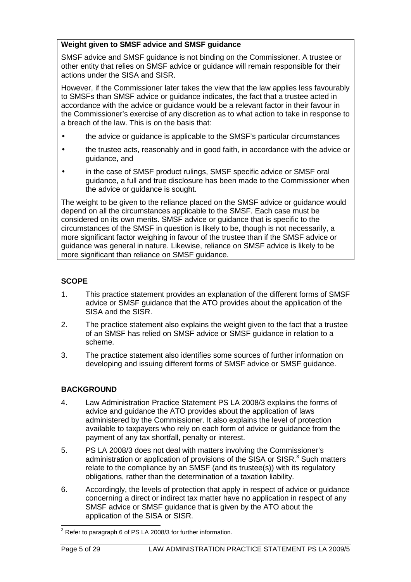## **Weight given to SMSF advice and SMSF guidance**

SMSF advice and SMSF guidance is not binding on the Commissioner. A trustee or other entity that relies on SMSF advice or guidance will remain responsible for their actions under the SISA and SISR.

However, if the Commissioner later takes the view that the law applies less favourably to SMSFs than SMSF advice or guidance indicates, the fact that a trustee acted in accordance with the advice or guidance would be a relevant factor in their favour in the Commissioner's exercise of any discretion as to what action to take in response to a breach of the law. This is on the basis that:

- the advice or guidance is applicable to the SMSF's particular circumstances
- the trustee acts, reasonably and in good faith, in accordance with the advice or guidance, and
- in the case of SMSF product rulings, SMSF specific advice or SMSF oral guidance, a full and true disclosure has been made to the Commissioner when the advice or guidance is sought.

The weight to be given to the reliance placed on the SMSF advice or guidance would depend on all the circumstances applicable to the SMSF. Each case must be considered on its own merits. SMSF advice or guidance that is specific to the circumstances of the SMSF in question is likely to be, though is not necessarily, a more significant factor weighing in favour of the trustee than if the SMSF advice or guidance was general in nature. Likewise, reliance on SMSF advice is likely to be more significant than reliance on SMSF guidance.

## **SCOPE**

- 1. This practice statement provides an explanation of the different forms of SMSF advice or SMSF guidance that the ATO provides about the application of the SISA and the SISR.
- 2. The practice statement also explains the weight given to the fact that a trustee of an SMSF has relied on SMSF advice or SMSF guidance in relation to a scheme.
- 3. The practice statement also identifies some sources of further information on developing and issuing different forms of SMSF advice or SMSF guidance.

# **BACKGROUND**

- 4. Law Administration Practice Statement PS LA 2008/3 explains the forms of advice and guidance the ATO provides about the application of laws administered by the Commissioner. It also explains the level of protection available to taxpayers who rely on each form of advice or guidance from the payment of any tax shortfall, penalty or interest.
- 5. PS LA 2008/3 does not deal with matters involving the Commissioner's administration or application of provisions of the SISA or SISR. $3$  Such matters relate to the compliance by an SMSF (and its trustee(s)) with its regulatory obligations, rather than the determination of a taxation liability.
- 6. Accordingly, the levels of protection that apply in respect of advice or guidance concerning a direct or indirect tax matter have no application in respect of any SMSF advice or SMSF guidance that is given by the ATO about the application of the SISA or SISR.

 3 Refer to paragraph 6 of PS LA 2008/3 for further information.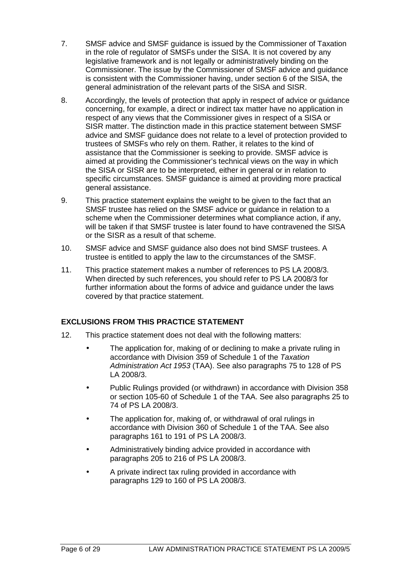- 7. SMSF advice and SMSF guidance is issued by the Commissioner of Taxation in the role of regulator of SMSFs under the SISA. It is not covered by any legislative framework and is not legally or administratively binding on the Commissioner. The issue by the Commissioner of SMSF advice and guidance is consistent with the Commissioner having, under section 6 of the SISA, the general administration of the relevant parts of the SISA and SISR.
- 8. Accordingly, the levels of protection that apply in respect of advice or guidance concerning, for example, a direct or indirect tax matter have no application in respect of any views that the Commissioner gives in respect of a SISA or SISR matter. The distinction made in this practice statement between SMSF advice and SMSF guidance does not relate to a level of protection provided to trustees of SMSFs who rely on them. Rather, it relates to the kind of assistance that the Commissioner is seeking to provide. SMSF advice is aimed at providing the Commissioner's technical views on the way in which the SISA or SISR are to be interpreted, either in general or in relation to specific circumstances. SMSF guidance is aimed at providing more practical general assistance.
- 9. This practice statement explains the weight to be given to the fact that an SMSF trustee has relied on the SMSF advice or guidance in relation to a scheme when the Commissioner determines what compliance action, if any, will be taken if that SMSF trustee is later found to have contravened the SISA or the SISR as a result of that scheme.
- 10. SMSF advice and SMSF guidance also does not bind SMSF trustees. A trustee is entitled to apply the law to the circumstances of the SMSF.
- 11. This practice statement makes a number of references to PS LA 2008/3. When directed by such references, you should refer to PS LA 2008/3 for further information about the forms of advice and guidance under the laws covered by that practice statement.

## **EXCLUSIONS FROM THIS PRACTICE STATEMENT**

- 12. This practice statement does not deal with the following matters:
	- The application for, making of or declining to make a private ruling in accordance with Division 359 of Schedule 1 of the Taxation Administration Act 1953 (TAA). See also paragraphs 75 to 128 of PS LA 2008/3.
	- Public Rulings provided (or withdrawn) in accordance with Division 358 or section 105-60 of Schedule 1 of the TAA. See also paragraphs 25 to 74 of PS LA 2008/3.
	- The application for, making of, or withdrawal of oral rulings in accordance with Division 360 of Schedule 1 of the TAA. See also paragraphs 161 to 191 of PS LA 2008/3.
	- Administratively binding advice provided in accordance with paragraphs 205 to 216 of PS LA 2008/3.
	- A private indirect tax ruling provided in accordance with paragraphs 129 to 160 of PS LA 2008/3.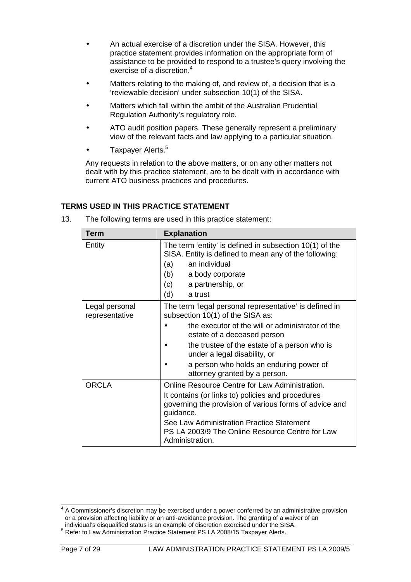- An actual exercise of a discretion under the SISA. However, this practice statement provides information on the appropriate form of assistance to be provided to respond to a trustee's query involving the exercise of a discretion.<sup>4</sup>
- Matters relating to the making of, and review of, a decision that is a 'reviewable decision' under subsection 10(1) of the SISA.
- Matters which fall within the ambit of the Australian Prudential Regulation Authority's regulatory role.
- ATO audit position papers. These generally represent a preliminary view of the relevant facts and law applying to a particular situation.
- Taxpayer Alerts.<sup>5</sup>

Any requests in relation to the above matters, or on any other matters not dealt with by this practice statement, are to be dealt with in accordance with current ATO business practices and procedures.

## **TERMS USED IN THIS PRACTICE STATEMENT**

13. The following terms are used in this practice statement:

| Term                             | <b>Explanation</b>                                                                                                                                                                                                                                                                                                                        |  |
|----------------------------------|-------------------------------------------------------------------------------------------------------------------------------------------------------------------------------------------------------------------------------------------------------------------------------------------------------------------------------------------|--|
| Entity                           | The term 'entity' is defined in subsection 10(1) of the<br>SISA. Entity is defined to mean any of the following:<br>an individual<br>(a)<br>(b)<br>a body corporate<br>(c)<br>a partnership, or<br>(d)<br>a trust                                                                                                                         |  |
| Legal personal<br>representative | The term 'legal personal representative' is defined in<br>subsection 10(1) of the SISA as:<br>the executor of the will or administrator of the<br>estate of a deceased person<br>the trustee of the estate of a person who is<br>under a legal disability, or<br>a person who holds an enduring power of<br>attorney granted by a person. |  |
| <b>ORCLA</b>                     | Online Resource Centre for Law Administration.<br>It contains (or links to) policies and procedures<br>governing the provision of various forms of advice and<br>guidance.<br>See Law Administration Practice Statement<br>PS LA 2003/9 The Online Resource Centre for Law<br>Administration.                                             |  |

 4 A Commissioner's discretion may be exercised under a power conferred by an administrative provision or a provision affecting liability or an anti-avoidance provision. The granting of a waiver of an individual's disqualified status is an example of discretion exercised under the SISA.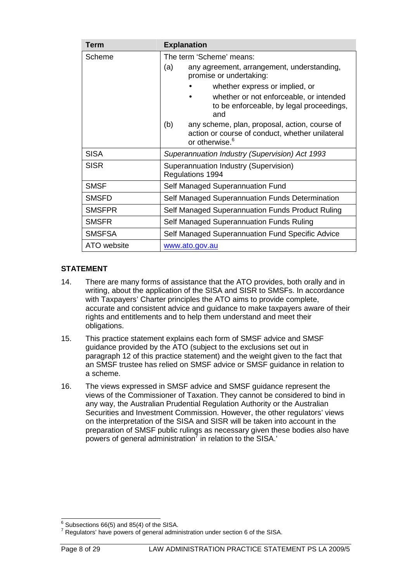| Term          | <b>Explanation</b>                                                                                                                    |
|---------------|---------------------------------------------------------------------------------------------------------------------------------------|
| Scheme        | The term 'Scheme' means:                                                                                                              |
|               | (a)<br>any agreement, arrangement, understanding,<br>promise or undertaking:                                                          |
|               | whether express or implied, or                                                                                                        |
|               | whether or not enforceable, or intended<br>to be enforceable, by legal proceedings,<br>and                                            |
|               | (b)<br>any scheme, plan, proposal, action, course of<br>action or course of conduct, whether unilateral<br>or otherwise. <sup>6</sup> |
| <b>SISA</b>   | Superannuation Industry (Supervision) Act 1993                                                                                        |
| <b>SISR</b>   | Superannuation Industry (Supervision)<br>Regulations 1994                                                                             |
| <b>SMSF</b>   | Self Managed Superannuation Fund                                                                                                      |
| <b>SMSFD</b>  | Self Managed Superannuation Funds Determination                                                                                       |
| <b>SMSFPR</b> | Self Managed Superannuation Funds Product Ruling                                                                                      |
| <b>SMSFR</b>  | Self Managed Superannuation Funds Ruling                                                                                              |
| <b>SMSFSA</b> | Self Managed Superannuation Fund Specific Advice                                                                                      |
| ATO website   | www.ato.gov.au                                                                                                                        |

## **STATEMENT**

- 14. There are many forms of assistance that the ATO provides, both orally and in writing, about the application of the SISA and SISR to SMSFs. In accordance with Taxpayers' Charter principles the ATO aims to provide complete, accurate and consistent advice and guidance to make taxpayers aware of their rights and entitlements and to help them understand and meet their obligations.
- 15. This practice statement explains each form of SMSF advice and SMSF guidance provided by the ATO (subject to the exclusions set out in paragraph 12 of this practice statement) and the weight given to the fact that an SMSF trustee has relied on SMSF advice or SMSF guidance in relation to a scheme.
- 16. The views expressed in SMSF advice and SMSF guidance represent the views of the Commissioner of Taxation. They cannot be considered to bind in any way, the Australian Prudential Regulation Authority or the Australian Securities and Investment Commission. However, the other regulators' views on the interpretation of the SISA and SISR will be taken into account in the preparation of SMSF public rulings as necessary given these bodies also have powers of general administration<sup>7</sup> in relation to the SISA.'

 $6$  Subsections 66(5) and 85(4) of the SISA.

 $7$  Regulators' have powers of general administration under section 6 of the SISA.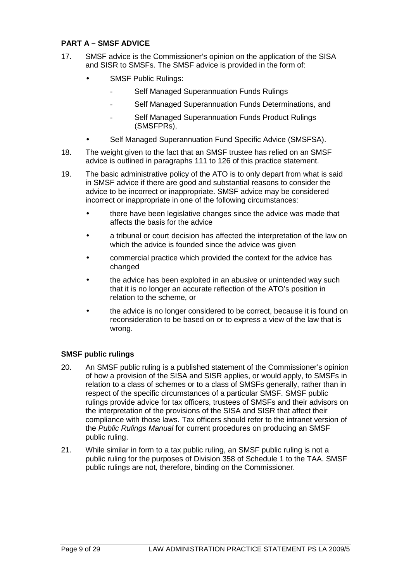## **PART A – SMSF ADVICE**

- 17. SMSF advice is the Commissioner's opinion on the application of the SISA and SISR to SMSFs. The SMSF advice is provided in the form of:
	- SMSF Public Rulings:
		- Self Managed Superannuation Funds Rulings
		- Self Managed Superannuation Funds Determinations, and
		- Self Managed Superannuation Funds Product Rulings (SMSFPRs),
	- Self Managed Superannuation Fund Specific Advice (SMSFSA).
- 18. The weight given to the fact that an SMSF trustee has relied on an SMSF advice is outlined in paragraphs 111 to 126 of this practice statement.
- 19. The basic administrative policy of the ATO is to only depart from what is said in SMSF advice if there are good and substantial reasons to consider the advice to be incorrect or inappropriate. SMSF advice may be considered incorrect or inappropriate in one of the following circumstances:
	- there have been legislative changes since the advice was made that affects the basis for the advice
	- a tribunal or court decision has affected the interpretation of the law on which the advice is founded since the advice was given
	- commercial practice which provided the context for the advice has changed
	- the advice has been exploited in an abusive or unintended way such that it is no longer an accurate reflection of the ATO's position in relation to the scheme, or
	- the advice is no longer considered to be correct, because it is found on reconsideration to be based on or to express a view of the law that is wrong.

## **SMSF public rulings**

- 20. An SMSF public ruling is a published statement of the Commissioner's opinion of how a provision of the SISA and SISR applies, or would apply, to SMSFs in relation to a class of schemes or to a class of SMSFs generally, rather than in respect of the specific circumstances of a particular SMSF. SMSF public rulings provide advice for tax officers, trustees of SMSFs and their advisors on the interpretation of the provisions of the SISA and SISR that affect their compliance with those laws. Tax officers should refer to the intranet version of the Public Rulings Manual for current procedures on producing an SMSF public ruling.
- 21. While similar in form to a tax public ruling, an SMSF public ruling is not a public ruling for the purposes of Division 358 of Schedule 1 to the TAA. SMSF public rulings are not, therefore, binding on the Commissioner.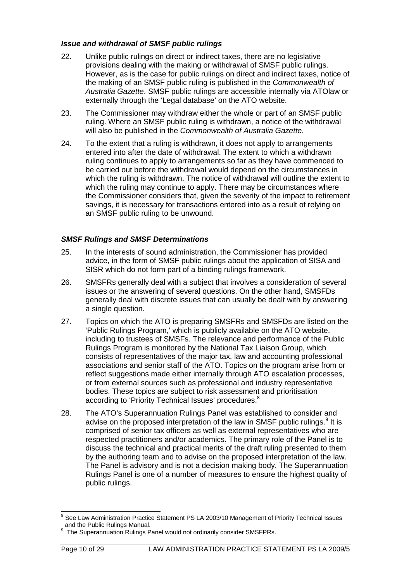#### **Issue and withdrawal of SMSF public rulings**

- 22. Unlike public rulings on direct or indirect taxes, there are no legislative provisions dealing with the making or withdrawal of SMSF public rulings. However, as is the case for public rulings on direct and indirect taxes, notice of the making of an SMSF public ruling is published in the Commonwealth of Australia Gazette. SMSF public rulings are accessible internally via ATOlaw or externally through the 'Legal database' on the ATO website.
- 23. The Commissioner may withdraw either the whole or part of an SMSF public ruling. Where an SMSF public ruling is withdrawn, a notice of the withdrawal will also be published in the Commonwealth of Australia Gazette.
- 24. To the extent that a ruling is withdrawn, it does not apply to arrangements entered into after the date of withdrawal. The extent to which a withdrawn ruling continues to apply to arrangements so far as they have commenced to be carried out before the withdrawal would depend on the circumstances in which the ruling is withdrawn. The notice of withdrawal will outline the extent to which the ruling may continue to apply. There may be circumstances where the Commissioner considers that, given the severity of the impact to retirement savings, it is necessary for transactions entered into as a result of relying on an SMSF public ruling to be unwound.

## **SMSF Rulings and SMSF Determinations**

- 25. In the interests of sound administration, the Commissioner has provided advice, in the form of SMSF public rulings about the application of SISA and SISR which do not form part of a binding rulings framework.
- 26. SMSFRs generally deal with a subject that involves a consideration of several issues or the answering of several questions. On the other hand, SMSFDs generally deal with discrete issues that can usually be dealt with by answering a single question.
- 27. Topics on which the ATO is preparing SMSFRs and SMSFDs are listed on the 'Public Rulings Program,' which is publicly available on the ATO website, including to trustees of SMSFs. The relevance and performance of the Public Rulings Program is monitored by the National Tax Liaison Group, which consists of representatives of the major tax, law and accounting professional associations and senior staff of the ATO. Topics on the program arise from or reflect suggestions made either internally through ATO escalation processes, or from external sources such as professional and industry representative bodies. These topics are subject to risk assessment and prioritisation according to 'Priority Technical Issues' procedures.<sup>8</sup>
- 28. The ATO's Superannuation Rulings Panel was established to consider and advise on the proposed interpretation of the law in SMSF public rulings.<sup>9</sup> It is comprised of senior tax officers as well as external representatives who are respected practitioners and/or academics. The primary role of the Panel is to discuss the technical and practical merits of the draft ruling presented to them by the authoring team and to advise on the proposed interpretation of the law. The Panel is advisory and is not a decision making body. The Superannuation Rulings Panel is one of a number of measures to ensure the highest quality of public rulings.

<sup>8&</sup>lt;br>8 See Law Administration Practice Statement PS LA 2003/10 Management of Priority Technical Issues and the Public Rulings Manual.

<sup>&</sup>lt;sup>9</sup> The Superannuation Rulings Panel would not ordinarily consider SMSFPRs.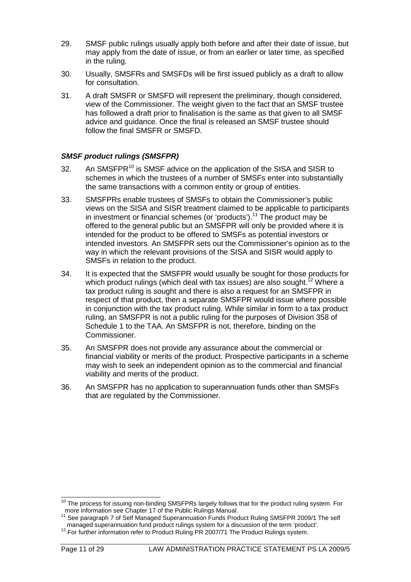- 29. SMSF public rulings usually apply both before and after their date of issue, but may apply from the date of issue, or from an earlier or later time, as specified in the ruling.
- 30. Usually, SMSFRs and SMSFDs will be first issued publicly as a draft to allow for consultation.
- 31. A draft SMSFR or SMSFD will represent the preliminary, though considered, view of the Commissioner. The weight given to the fact that an SMSF trustee has followed a draft prior to finalisation is the same as that given to all SMSF advice and guidance. Once the final is released an SMSF trustee should follow the final SMSFR or SMSFD.

#### **SMSF product rulings (SMSFPR)**

- 32. An SMSFPR<sup>10</sup> is SMSF advice on the application of the SISA and SISR to schemes in which the trustees of a number of SMSFs enter into substantially the same transactions with a common entity or group of entities.
- 33. SMSFPRs enable trustees of SMSFs to obtain the Commissioner's public views on the SISA and SISR treatment claimed to be applicable to participants in investment or financial schemes (or 'products').<sup>11</sup> The product may be offered to the general public but an SMSFPR will only be provided where it is intended for the product to be offered to SMSFs as potential investors or intended investors. An SMSFPR sets out the Commissioner's opinion as to the way in which the relevant provisions of the SISA and SISR would apply to SMSFs in relation to the product.
- 34. It is expected that the SMSFPR would usually be sought for those products for which product rulings (which deal with tax issues) are also sought.<sup>12</sup> Where a tax product ruling is sought and there is also a request for an SMSFPR in respect of that product, then a separate SMSFPR would issue where possible in conjunction with the tax product ruling. While similar in form to a tax product ruling, an SMSFPR is not a public ruling for the purposes of Division 358 of Schedule 1 to the TAA. An SMSFPR is not, therefore, binding on the Commissioner.
- 35. An SMSFPR does not provide any assurance about the commercial or financial viability or merits of the product. Prospective participants in a scheme may wish to seek an independent opinion as to the commercial and financial viability and merits of the product.
- 36. An SMSFPR has no application to superannuation funds other than SMSFs that are regulated by the Commissioner.

l

 $10$  The process for issuing non-binding SMSFPRs largely follows that for the product ruling system. For more information see Chapter 17 of the Public Rulings Manual.<br><sup>11</sup> See now we have Chapter 17 of the Public Rulings Manual.

<sup>11</sup> See paragraph 7 of Self Managed Superannuation Funds Product Ruling SMSFPR 2009/1 The self managed superannuation fund product rulings system for a discussion of the term 'product'.

<sup>&</sup>lt;sup>12</sup> For further information refer to Product Ruling PR 2007/71 The Product Rulings system.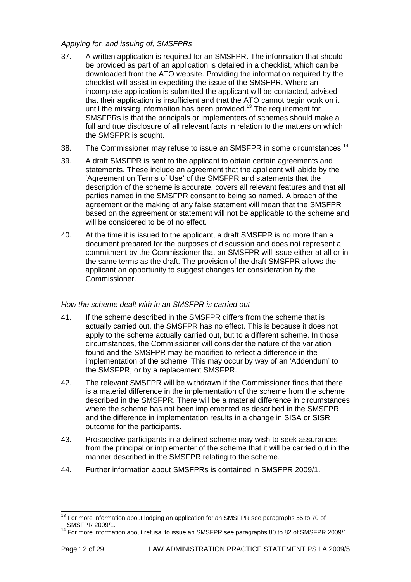#### Applying for, and issuing of, SMSFPRs

- 37. A written application is required for an SMSFPR. The information that should be provided as part of an application is detailed in a checklist, which can be downloaded from the ATO website. Providing the information required by the checklist will assist in expediting the issue of the SMSFPR. Where an incomplete application is submitted the applicant will be contacted, advised that their application is insufficient and that the ATO cannot begin work on it until the missing information has been provided.<sup>13</sup> The requirement for SMSFPRs is that the principals or implementers of schemes should make a full and true disclosure of all relevant facts in relation to the matters on which the SMSFPR is sought.
- 38. The Commissioner may refuse to issue an SMSFPR in some circumstances.<sup>14</sup>
- 39. A draft SMSFPR is sent to the applicant to obtain certain agreements and statements. These include an agreement that the applicant will abide by the 'Agreement on Terms of Use' of the SMSFPR and statements that the description of the scheme is accurate, covers all relevant features and that all parties named in the SMSFPR consent to being so named. A breach of the agreement or the making of any false statement will mean that the SMSFPR based on the agreement or statement will not be applicable to the scheme and will be considered to be of no effect.
- 40. At the time it is issued to the applicant, a draft SMSFPR is no more than a document prepared for the purposes of discussion and does not represent a commitment by the Commissioner that an SMSFPR will issue either at all or in the same terms as the draft. The provision of the draft SMSFPR allows the applicant an opportunity to suggest changes for consideration by the Commissioner.

## How the scheme dealt with in an SMSFPR is carried out

- 41. If the scheme described in the SMSFPR differs from the scheme that is actually carried out, the SMSFPR has no effect. This is because it does not apply to the scheme actually carried out, but to a different scheme. In those circumstances, the Commissioner will consider the nature of the variation found and the SMSFPR may be modified to reflect a difference in the implementation of the scheme. This may occur by way of an 'Addendum' to the SMSFPR, or by a replacement SMSFPR.
- 42. The relevant SMSFPR will be withdrawn if the Commissioner finds that there is a material difference in the implementation of the scheme from the scheme described in the SMSFPR. There will be a material difference in circumstances where the scheme has not been implemented as described in the SMSFPR, and the difference in implementation results in a change in SISA or SISR outcome for the participants.
- 43. Prospective participants in a defined scheme may wish to seek assurances from the principal or implementer of the scheme that it will be carried out in the manner described in the SMSFPR relating to the scheme.
- 44. Further information about SMSFPRs is contained in SMSFPR 2009/1.

l  $13$  For more information about lodging an application for an SMSFPR see paragraphs 55 to 70 of SMSFPR 2009/1.

 $14$  For more information about refusal to issue an SMSFPR see paragraphs 80 to 82 of SMSFPR 2009/1.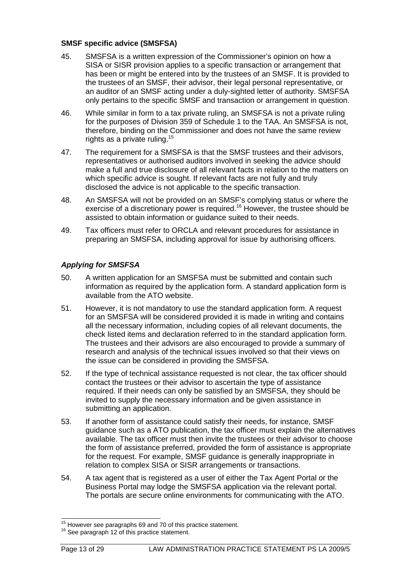#### **SMSF specific advice (SMSFSA)**

- 45. SMSFSA is a written expression of the Commissioner's opinion on how a SISA or SISR provision applies to a specific transaction or arrangement that has been or might be entered into by the trustees of an SMSF. It is provided to the trustees of an SMSF, their advisor, their legal personal representative, or an auditor of an SMSF acting under a duly-sighted letter of authority. SMSFSA only pertains to the specific SMSF and transaction or arrangement in question.
- 46. While similar in form to a tax private ruling, an SMSFSA is not a private ruling for the purposes of Division 359 of Schedule 1 to the TAA. An SMSFSA is not, therefore, binding on the Commissioner and does not have the same review rights as a private ruling.<sup>15</sup>
- 47. The requirement for a SMSFSA is that the SMSF trustees and their advisors, representatives or authorised auditors involved in seeking the advice should make a full and true disclosure of all relevant facts in relation to the matters on which specific advice is sought. If relevant facts are not fully and truly disclosed the advice is not applicable to the specific transaction.
- 48. An SMSFSA will not be provided on an SMSF's complying status or where the exercise of a discretionary power is required.<sup>16</sup> However, the trustee should be assisted to obtain information or guidance suited to their needs.
- 49. Tax officers must refer to ORCLA and relevant procedures for assistance in preparing an SMSFSA, including approval for issue by authorising officers.

## **Applying for SMSFSA**

- 50. A written application for an SMSFSA must be submitted and contain such information as required by the application form. A standard application form is available from the ATO website.
- 51. However, it is not mandatory to use the standard application form. A request for an SMSFSA will be considered provided it is made in writing and contains all the necessary information, including copies of all relevant documents, the check listed items and declaration referred to in the standard application form. The trustees and their advisors are also encouraged to provide a summary of research and analysis of the technical issues involved so that their views on the issue can be considered in providing the SMSFSA.
- 52. If the type of technical assistance requested is not clear, the tax officer should contact the trustees or their advisor to ascertain the type of assistance required. If their needs can only be satisfied by an SMSFSA, they should be invited to supply the necessary information and be given assistance in submitting an application.
- 53. If another form of assistance could satisfy their needs, for instance, SMSF guidance such as a ATO publication, the tax officer must explain the alternatives available. The tax officer must then invite the trustees or their advisor to choose the form of assistance preferred, provided the form of assistance is appropriate for the request. For example, SMSF guidance is generally inappropriate in relation to complex SISA or SISR arrangements or transactions.
- 54. A tax agent that is registered as a user of either the Tax Agent Portal or the Business Portal may lodge the SMSFSA application via the relevant portal. The portals are secure online environments for communicating with the ATO.

l  $15$  However see paragraphs 69 and 70 of this practice statement.

 $16$  See paragraph 12 of this practice statement.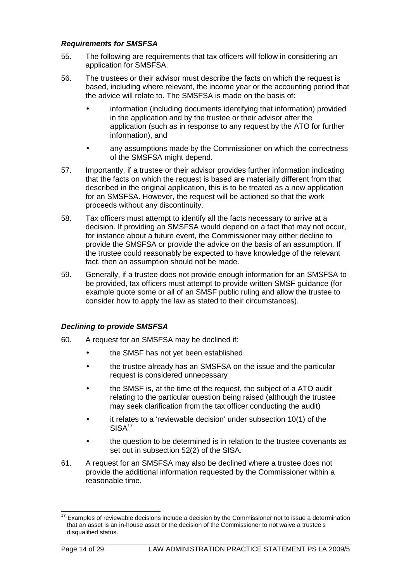#### **Requirements for SMSFSA**

- 55. The following are requirements that tax officers will follow in considering an application for SMSFSA.
- 56. The trustees or their advisor must describe the facts on which the request is based, including where relevant, the income year or the accounting period that the advice will relate to. The SMSFSA is made on the basis of:
	- information (including documents identifying that information) provided in the application and by the trustee or their advisor after the application (such as in response to any request by the ATO for further information), and
	- any assumptions made by the Commissioner on which the correctness of the SMSFSA might depend.
- 57. Importantly, if a trustee or their advisor provides further information indicating that the facts on which the request is based are materially different from that described in the original application, this is to be treated as a new application for an SMSFSA. However, the request will be actioned so that the work proceeds without any discontinuity.
- 58. Tax officers must attempt to identify all the facts necessary to arrive at a decision. If providing an SMSFSA would depend on a fact that may not occur, for instance about a future event, the Commissioner may either decline to provide the SMSFSA or provide the advice on the basis of an assumption. If the trustee could reasonably be expected to have knowledge of the relevant fact, then an assumption should not be made.
- 59. Generally, if a trustee does not provide enough information for an SMSFSA to be provided, tax officers must attempt to provide written SMSF guidance (for example quote some or all of an SMSF public ruling and allow the trustee to consider how to apply the law as stated to their circumstances).

## **Declining to provide SMSFSA**

- 60. A request for an SMSFSA may be declined if:
	- the SMSF has not yet been established
	- the trustee already has an SMSFSA on the issue and the particular request is considered unnecessary
	- the SMSF is, at the time of the request, the subject of a ATO audit relating to the particular question being raised (although the trustee may seek clarification from the tax officer conducting the audit)
	- it relates to a 'reviewable decision' under subsection 10(1) of the  $SISA<sup>17</sup>$
	- the question to be determined is in relation to the trustee covenants as set out in subsection 52(2) of the SISA.
- 61. A request for an SMSFSA may also be declined where a trustee does not provide the additional information requested by the Commissioner within a reasonable time.

l Examples of reviewable decisions include a decision by the Commissioner not to issue a determination that an asset is an in-house asset or the decision of the Commissioner to not waive a trustee's disqualified status.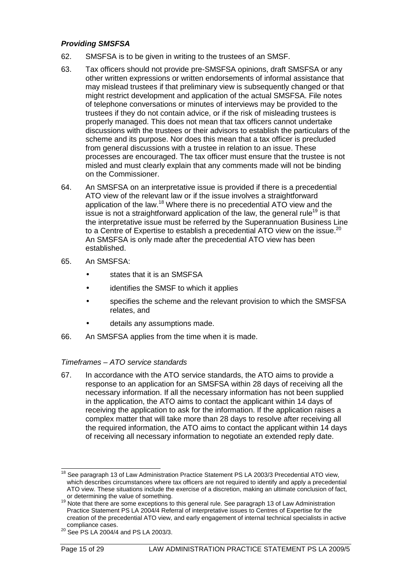#### **Providing SMSFSA**

- 62. SMSFSA is to be given in writing to the trustees of an SMSF.
- 63. Tax officers should not provide pre-SMSFSA opinions, draft SMSFSA or any other written expressions or written endorsements of informal assistance that may mislead trustees if that preliminary view is subsequently changed or that might restrict development and application of the actual SMSFSA. File notes of telephone conversations or minutes of interviews may be provided to the trustees if they do not contain advice, or if the risk of misleading trustees is properly managed. This does not mean that tax officers cannot undertake discussions with the trustees or their advisors to establish the particulars of the scheme and its purpose. Nor does this mean that a tax officer is precluded from general discussions with a trustee in relation to an issue. These processes are encouraged. The tax officer must ensure that the trustee is not misled and must clearly explain that any comments made will not be binding on the Commissioner.
- 64. An SMSFSA on an interpretative issue is provided if there is a precedential ATO view of the relevant law or if the issue involves a straightforward application of the law.<sup>18</sup> Where there is no precedential ATO view and the issue is not a straightforward application of the law, the general rule<sup>19</sup> is that the interpretative issue must be referred by the Superannuation Business Line to a Centre of Expertise to establish a precedential ATO view on the issue.<sup>20</sup> An SMSFSA is only made after the precedential ATO view has been established.
- 65. An SMSFSA:
	- states that it is an SMSFSA
	- identifies the SMSF to which it applies
	- specifies the scheme and the relevant provision to which the SMSFSA relates, and
	- details any assumptions made.
- 66. An SMSFSA applies from the time when it is made.

#### Timeframes – ATO service standards

67. In accordance with the ATO service standards, the ATO aims to provide a response to an application for an SMSFSA within 28 days of receiving all the necessary information. If all the necessary information has not been supplied in the application, the ATO aims to contact the applicant within 14 days of receiving the application to ask for the information. If the application raises a complex matter that will take more than 28 days to resolve after receiving all the required information, the ATO aims to contact the applicant within 14 days of receiving all necessary information to negotiate an extended reply date.

l <sup>18</sup> See paragraph 13 of Law Administration Practice Statement PS LA 2003/3 Precedential ATO view, which describes circumstances where tax officers are not required to identify and apply a precedential ATO view. These situations include the exercise of a discretion, making an ultimate conclusion of fact, or determining the value of something.

<sup>&</sup>lt;sup>19</sup> Note that there are some exceptions to this general rule. See paragraph 13 of Law Administration Practice Statement PS LA 2004/4 Referral of interpretative issues to Centres of Expertise for the creation of the precedential ATO view, and early engagement of internal technical specialists in active compliance cases.

<sup>&</sup>lt;sup>20</sup> See PS LA 2004/4 and PS LA 2003/3.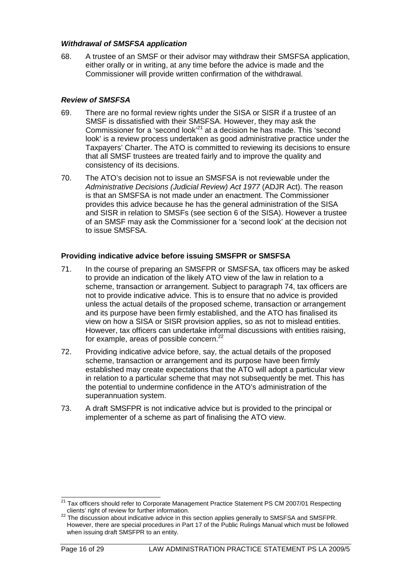#### **Withdrawal of SMSFSA application**

68. A trustee of an SMSF or their advisor may withdraw their SMSFSA application, either orally or in writing, at any time before the advice is made and the Commissioner will provide written confirmation of the withdrawal.

## **Review of SMSFSA**

- 69. There are no formal review rights under the SISA or SISR if a trustee of an SMSF is dissatisfied with their SMSFSA. However, they may ask the Commissioner for a 'second look'<sup>21</sup> at a decision he has made. This 'second look' is a review process undertaken as good administrative practice under the Taxpayers' Charter. The ATO is committed to reviewing its decisions to ensure that all SMSF trustees are treated fairly and to improve the quality and consistency of its decisions.
- 70. The ATO's decision not to issue an SMSFSA is not reviewable under the Administrative Decisions (Judicial Review) Act 1977 (ADJR Act). The reason is that an SMSFSA is not made under an enactment. The Commissioner provides this advice because he has the general administration of the SISA and SISR in relation to SMSFs (see section 6 of the SISA). However a trustee of an SMSF may ask the Commissioner for a 'second look' at the decision not to issue SMSFSA.

## **Providing indicative advice before issuing SMSFPR or SMSFSA**

- 71. In the course of preparing an SMSFPR or SMSFSA, tax officers may be asked to provide an indication of the likely ATO view of the law in relation to a scheme, transaction or arrangement. Subject to paragraph 74, tax officers are not to provide indicative advice. This is to ensure that no advice is provided unless the actual details of the proposed scheme, transaction or arrangement and its purpose have been firmly established, and the ATO has finalised its view on how a SISA or SISR provision applies, so as not to mislead entities. However, tax officers can undertake informal discussions with entities raising, for example, areas of possible concern. $^{22}$
- 72. Providing indicative advice before, say, the actual details of the proposed scheme, transaction or arrangement and its purpose have been firmly established may create expectations that the ATO will adopt a particular view in relation to a particular scheme that may not subsequently be met. This has the potential to undermine confidence in the ATO's administration of the superannuation system.
- 73. A draft SMSFPR is not indicative advice but is provided to the principal or implementer of a scheme as part of finalising the ATO view.

l <sup>21</sup> Tax officers should refer to Corporate Management Practice Statement PS CM 2007/01 Respecting clients' right of review for further information.

 $22$  The discussion about indicative advice in this section applies generally to SMSFSA and SMSFPR. However, there are special procedures in Part 17 of the Public Rulings Manual which must be followed when issuing draft SMSFPR to an entity.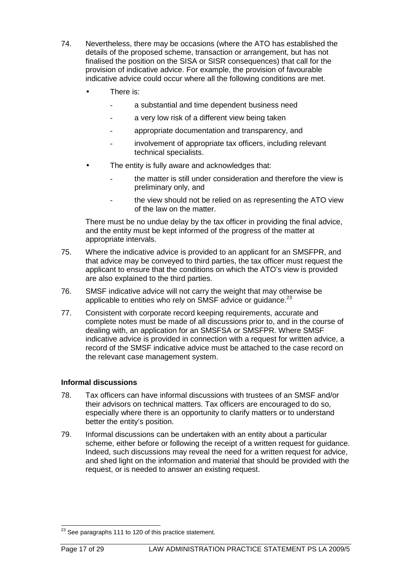- 74. Nevertheless, there may be occasions (where the ATO has established the details of the proposed scheme, transaction or arrangement, but has not finalised the position on the SISA or SISR consequences) that call for the provision of indicative advice. For example, the provision of favourable indicative advice could occur where all the following conditions are met.
	- There is:
		- a substantial and time dependent business need
		- a very low risk of a different view being taken
		- appropriate documentation and transparency, and
		- involvement of appropriate tax officers, including relevant technical specialists.
	- The entity is fully aware and acknowledges that:
		- the matter is still under consideration and therefore the view is preliminary only, and
		- the view should not be relied on as representing the ATO view of the law on the matter.

There must be no undue delay by the tax officer in providing the final advice, and the entity must be kept informed of the progress of the matter at appropriate intervals.

- 75. Where the indicative advice is provided to an applicant for an SMSFPR, and that advice may be conveyed to third parties, the tax officer must request the applicant to ensure that the conditions on which the ATO's view is provided are also explained to the third parties.
- 76. SMSF indicative advice will not carry the weight that may otherwise be applicable to entities who rely on SMSF advice or quidance. $^{23}$
- 77. Consistent with corporate record keeping requirements, accurate and complete notes must be made of all discussions prior to, and in the course of dealing with, an application for an SMSFSA or SMSFPR. Where SMSF indicative advice is provided in connection with a request for written advice, a record of the SMSF indicative advice must be attached to the case record on the relevant case management system.

## **Informal discussions**

- 78. Tax officers can have informal discussions with trustees of an SMSF and/or their advisors on technical matters. Tax officers are encouraged to do so, especially where there is an opportunity to clarify matters or to understand better the entity's position.
- 79. Informal discussions can be undertaken with an entity about a particular scheme, either before or following the receipt of a written request for guidance. Indeed, such discussions may reveal the need for a written request for advice, and shed light on the information and material that should be provided with the request, or is needed to answer an existing request.

l  $^{23}$  See paragraphs 111 to 120 of this practice statement.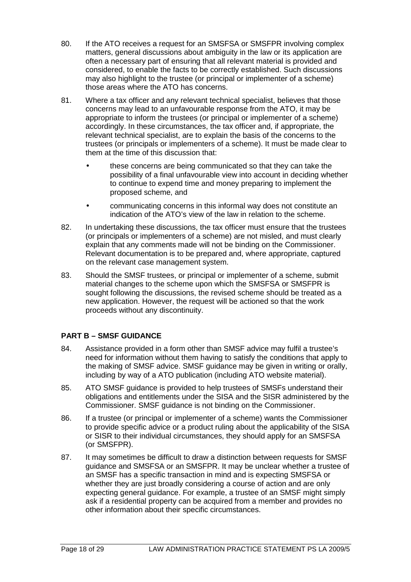- 80. If the ATO receives a request for an SMSFSA or SMSFPR involving complex matters, general discussions about ambiguity in the law or its application are often a necessary part of ensuring that all relevant material is provided and considered, to enable the facts to be correctly established. Such discussions may also highlight to the trustee (or principal or implementer of a scheme) those areas where the ATO has concerns.
- 81. Where a tax officer and any relevant technical specialist, believes that those concerns may lead to an unfavourable response from the ATO, it may be appropriate to inform the trustees (or principal or implementer of a scheme) accordingly. In these circumstances, the tax officer and, if appropriate, the relevant technical specialist, are to explain the basis of the concerns to the trustees (or principals or implementers of a scheme). It must be made clear to them at the time of this discussion that:
	- these concerns are being communicated so that they can take the possibility of a final unfavourable view into account in deciding whether to continue to expend time and money preparing to implement the proposed scheme, and
	- communicating concerns in this informal way does not constitute an indication of the ATO's view of the law in relation to the scheme.
- 82. In undertaking these discussions, the tax officer must ensure that the trustees (or principals or implementers of a scheme) are not misled, and must clearly explain that any comments made will not be binding on the Commissioner. Relevant documentation is to be prepared and, where appropriate, captured on the relevant case management system.
- 83. Should the SMSF trustees, or principal or implementer of a scheme, submit material changes to the scheme upon which the SMSFSA or SMSFPR is sought following the discussions, the revised scheme should be treated as a new application. However, the request will be actioned so that the work proceeds without any discontinuity.

## **PART B – SMSF GUIDANCE**

- 84. Assistance provided in a form other than SMSF advice may fulfil a trustee's need for information without them having to satisfy the conditions that apply to the making of SMSF advice. SMSF guidance may be given in writing or orally, including by way of a ATO publication (including ATO website material).
- 85. ATO SMSF guidance is provided to help trustees of SMSFs understand their obligations and entitlements under the SISA and the SISR administered by the Commissioner. SMSF guidance is not binding on the Commissioner.
- 86. If a trustee (or principal or implementer of a scheme) wants the Commissioner to provide specific advice or a product ruling about the applicability of the SISA or SISR to their individual circumstances, they should apply for an SMSFSA (or SMSFPR).
- 87. It may sometimes be difficult to draw a distinction between requests for SMSF guidance and SMSFSA or an SMSFPR. It may be unclear whether a trustee of an SMSF has a specific transaction in mind and is expecting SMSFSA or whether they are just broadly considering a course of action and are only expecting general guidance. For example, a trustee of an SMSF might simply ask if a residential property can be acquired from a member and provides no other information about their specific circumstances.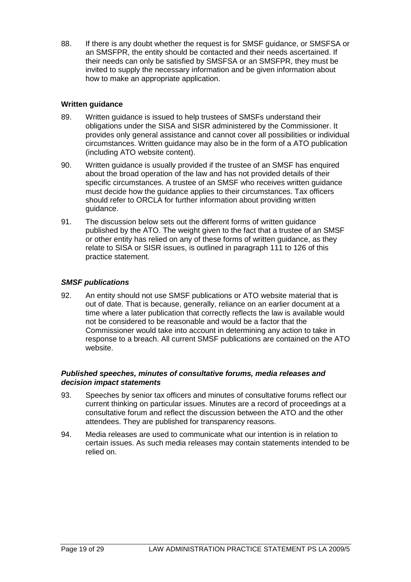88. If there is any doubt whether the request is for SMSF guidance, or SMSFSA or an SMSFPR, the entity should be contacted and their needs ascertained. If their needs can only be satisfied by SMSFSA or an SMSFPR, they must be invited to supply the necessary information and be given information about how to make an appropriate application.

## **Written guidance**

- 89. Written guidance is issued to help trustees of SMSFs understand their obligations under the SISA and SISR administered by the Commissioner. It provides only general assistance and cannot cover all possibilities or individual circumstances. Written guidance may also be in the form of a ATO publication (including ATO website content).
- 90. Written guidance is usually provided if the trustee of an SMSF has enquired about the broad operation of the law and has not provided details of their specific circumstances. A trustee of an SMSF who receives written guidance must decide how the guidance applies to their circumstances. Tax officers should refer to ORCLA for further information about providing written guidance.
- 91. The discussion below sets out the different forms of written guidance published by the ATO. The weight given to the fact that a trustee of an SMSF or other entity has relied on any of these forms of written guidance, as they relate to SISA or SISR issues, is outlined in paragraph 111 to 126 of this practice statement.

#### **SMSF publications**

92. An entity should not use SMSF publications or ATO website material that is out of date. That is because, generally, reliance on an earlier document at a time where a later publication that correctly reflects the law is available would not be considered to be reasonable and would be a factor that the Commissioner would take into account in determining any action to take in response to a breach. All current SMSF publications are contained on the ATO website.

#### **Published speeches, minutes of consultative forums, media releases and decision impact statements**

- 93. Speeches by senior tax officers and minutes of consultative forums reflect our current thinking on particular issues. Minutes are a record of proceedings at a consultative forum and reflect the discussion between the ATO and the other attendees. They are published for transparency reasons.
- 94. Media releases are used to communicate what our intention is in relation to certain issues. As such media releases may contain statements intended to be relied on.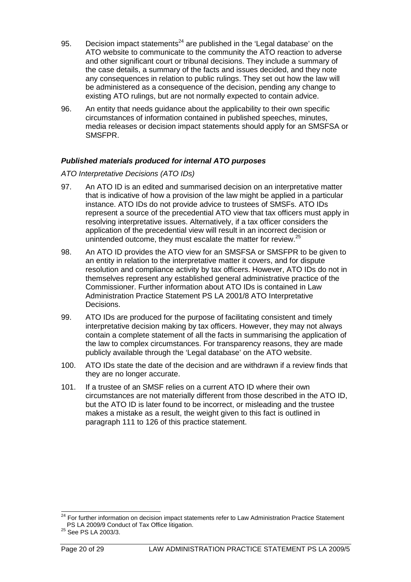- 95. Decision impact statements<sup>24</sup> are published in the 'Legal database' on the ATO website to communicate to the community the ATO reaction to adverse and other significant court or tribunal decisions. They include a summary of the case details, a summary of the facts and issues decided, and they note any consequences in relation to public rulings. They set out how the law will be administered as a consequence of the decision, pending any change to existing ATO rulings, but are not normally expected to contain advice.
- 96. An entity that needs guidance about the applicability to their own specific circumstances of information contained in published speeches, minutes, media releases or decision impact statements should apply for an SMSFSA or SMSFPR.

#### **Published materials produced for internal ATO purposes**

#### ATO Interpretative Decisions (ATO IDs)

- 97. An ATO ID is an edited and summarised decision on an interpretative matter that is indicative of how a provision of the law might be applied in a particular instance. ATO IDs do not provide advice to trustees of SMSFs. ATO IDs represent a source of the precedential ATO view that tax officers must apply in resolving interpretative issues. Alternatively, if a tax officer considers the application of the precedential view will result in an incorrect decision or unintended outcome, they must escalate the matter for review.<sup>25</sup>
- 98. An ATO ID provides the ATO view for an SMSFSA or SMSFPR to be given to an entity in relation to the interpretative matter it covers, and for dispute resolution and compliance activity by tax officers. However, ATO IDs do not in themselves represent any established general administrative practice of the Commissioner. Further information about ATO IDs is contained in Law Administration Practice Statement PS LA 2001/8 ATO Interpretative Decisions.
- 99. ATO IDs are produced for the purpose of facilitating consistent and timely interpretative decision making by tax officers. However, they may not always contain a complete statement of all the facts in summarising the application of the law to complex circumstances. For transparency reasons, they are made publicly available through the 'Legal database' on the ATO website.
- 100. ATO IDs state the date of the decision and are withdrawn if a review finds that they are no longer accurate.
- 101. If a trustee of an SMSF relies on a current ATO ID where their own circumstances are not materially different from those described in the ATO ID, but the ATO ID is later found to be incorrect, or misleading and the trustee makes a mistake as a result, the weight given to this fact is outlined in paragraph 111 to 126 of this practice statement.

l

<sup>&</sup>lt;sup>24</sup> For further information on decision impact statements refer to Law Administration Practice Statement PS LA 2009/9 Conduct of Tax Office litigation.

<sup>&</sup>lt;sup>25</sup> See PS LA 2003/3.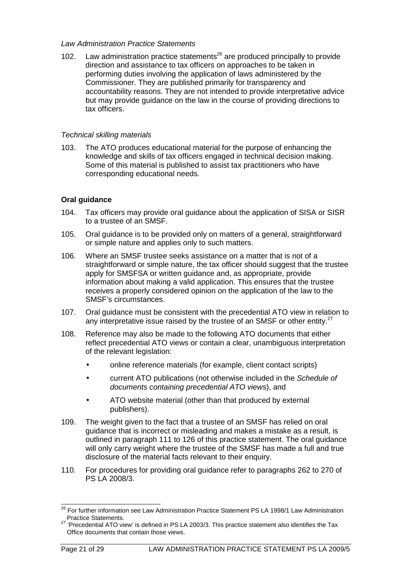#### Law Administration Practice Statements

102. Law administration practice statements<sup>26</sup> are produced principally to provide direction and assistance to tax officers on approaches to be taken in performing duties involving the application of laws administered by the Commissioner. They are published primarily for transparency and accountability reasons. They are not intended to provide interpretative advice but may provide guidance on the law in the course of providing directions to tax officers.

#### Technical skilling materials

103. The ATO produces educational material for the purpose of enhancing the knowledge and skills of tax officers engaged in technical decision making. Some of this material is published to assist tax practitioners who have corresponding educational needs.

## **Oral guidance**

- 104. Tax officers may provide oral guidance about the application of SISA or SISR to a trustee of an SMSF.
- 105. Oral guidance is to be provided only on matters of a general, straightforward or simple nature and applies only to such matters.
- 106. Where an SMSF trustee seeks assistance on a matter that is not of a straightforward or simple nature, the tax officer should suggest that the trustee apply for SMSFSA or written guidance and, as appropriate, provide information about making a valid application. This ensures that the trustee receives a properly considered opinion on the application of the law to the SMSF's circumstances.
- 107. Oral guidance must be consistent with the precedential ATO view in relation to any interpretative issue raised by the trustee of an SMSF or other entity. $27$
- 108. Reference may also be made to the following ATO documents that either reflect precedential ATO views or contain a clear, unambiguous interpretation of the relevant legislation:
	- online reference materials (for example, client contact scripts)
	- current ATO publications (not otherwise included in the Schedule of documents containing precedential ATO views), and
	- ATO website material (other than that produced by external publishers).
- 109. The weight given to the fact that a trustee of an SMSF has relied on oral guidance that is incorrect or misleading and makes a mistake as a result, is outlined in paragraph 111 to 126 of this practice statement. The oral guidance will only carry weight where the trustee of the SMSF has made a full and true disclosure of the material facts relevant to their enquiry.
- 110. For procedures for providing oral guidance refer to paragraphs 262 to 270 of PS LA 2008/3.

l

<sup>26</sup> For further information see Law Administration Practice Statement PS LA 1998/1 Law Administration Practice Statements.

<sup>&</sup>lt;sup>27</sup> 'Precedential ATO view' is defined in PS LA 2003/3. This practice statement also identifies the Tax Office documents that contain those views.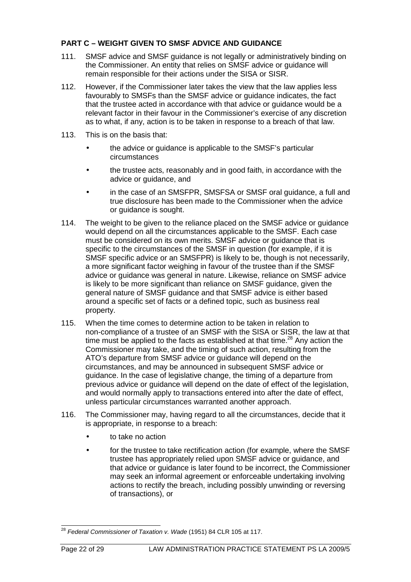## **PART C – WEIGHT GIVEN TO SMSF ADVICE AND GUIDANCE**

- 111. SMSF advice and SMSF guidance is not legally or administratively binding on the Commissioner. An entity that relies on SMSF advice or guidance will remain responsible for their actions under the SISA or SISR.
- 112. However, if the Commissioner later takes the view that the law applies less favourably to SMSFs than the SMSF advice or guidance indicates, the fact that the trustee acted in accordance with that advice or guidance would be a relevant factor in their favour in the Commissioner's exercise of any discretion as to what, if any, action is to be taken in response to a breach of that law.
- 113. This is on the basis that:
	- the advice or quidance is applicable to the SMSF's particular circumstances
	- the trustee acts, reasonably and in good faith, in accordance with the advice or guidance, and
	- in the case of an SMSFPR, SMSFSA or SMSF oral guidance, a full and true disclosure has been made to the Commissioner when the advice or guidance is sought.
- 114. The weight to be given to the reliance placed on the SMSF advice or guidance would depend on all the circumstances applicable to the SMSF. Each case must be considered on its own merits. SMSF advice or guidance that is specific to the circumstances of the SMSF in question (for example, if it is SMSF specific advice or an SMSFPR) is likely to be, though is not necessarily, a more significant factor weighing in favour of the trustee than if the SMSF advice or guidance was general in nature. Likewise, reliance on SMSF advice is likely to be more significant than reliance on SMSF guidance, given the general nature of SMSF guidance and that SMSF advice is either based around a specific set of facts or a defined topic, such as business real property.
- 115. When the time comes to determine action to be taken in relation to non-compliance of a trustee of an SMSF with the SISA or SISR, the law at that time must be applied to the facts as established at that time.<sup>28</sup> Any action the Commissioner may take, and the timing of such action, resulting from the ATO's departure from SMSF advice or guidance will depend on the circumstances, and may be announced in subsequent SMSF advice or guidance. In the case of legislative change, the timing of a departure from previous advice or guidance will depend on the date of effect of the legislation, and would normally apply to transactions entered into after the date of effect, unless particular circumstances warranted another approach.
- 116. The Commissioner may, having regard to all the circumstances, decide that it is appropriate, in response to a breach:
	- to take no action
	- for the trustee to take rectification action (for example, where the SMSF trustee has appropriately relied upon SMSF advice or guidance, and that advice or guidance is later found to be incorrect, the Commissioner may seek an informal agreement or enforceable undertaking involving actions to rectify the breach, including possibly unwinding or reversing of transactions), or

l  $^{28}$  Federal Commissioner of Taxation v. Wade (1951) 84 CLR 105 at 117.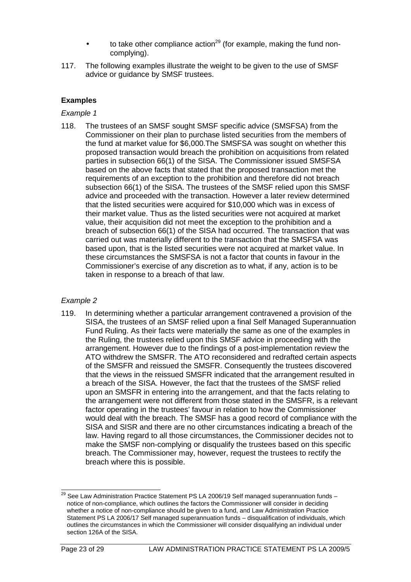- to take other compliance action<sup>29</sup> (for example, making the fund noncomplying).
- 117. The following examples illustrate the weight to be given to the use of SMSF advice or guidance by SMSF trustees.

#### Example 1

118. The trustees of an SMSF sought SMSF specific advice (SMSFSA) from the Commissioner on their plan to purchase listed securities from the members of the fund at market value for \$6,000.The SMSFSA was sought on whether this proposed transaction would breach the prohibition on acquisitions from related parties in subsection 66(1) of the SISA. The Commissioner issued SMSFSA based on the above facts that stated that the proposed transaction met the requirements of an exception to the prohibition and therefore did not breach subsection 66(1) of the SISA. The trustees of the SMSF relied upon this SMSF advice and proceeded with the transaction. However a later review determined that the listed securities were acquired for \$10,000 which was in excess of their market value. Thus as the listed securities were not acquired at market value, their acquisition did not meet the exception to the prohibition and a breach of subsection 66(1) of the SISA had occurred. The transaction that was carried out was materially different to the transaction that the SMSFSA was based upon, that is the listed securities were not acquired at market value. In these circumstances the SMSFSA is not a factor that counts in favour in the Commissioner's exercise of any discretion as to what, if any, action is to be taken in response to a breach of that law.

## Example 2

119. In determining whether a particular arrangement contravened a provision of the SISA, the trustees of an SMSF relied upon a final Self Managed Superannuation Fund Ruling. As their facts were materially the same as one of the examples in the Ruling, the trustees relied upon this SMSF advice in proceeding with the arrangement. However due to the findings of a post-implementation review the ATO withdrew the SMSFR. The ATO reconsidered and redrafted certain aspects of the SMSFR and reissued the SMSFR. Consequently the trustees discovered that the views in the reissued SMSFR indicated that the arrangement resulted in a breach of the SISA. However, the fact that the trustees of the SMSF relied upon an SMSFR in entering into the arrangement, and that the facts relating to the arrangement were not different from those stated in the SMSFR, is a relevant factor operating in the trustees' favour in relation to how the Commissioner would deal with the breach. The SMSF has a good record of compliance with the SISA and SISR and there are no other circumstances indicating a breach of the law. Having regard to all those circumstances, the Commissioner decides not to make the SMSF non-complying or disqualify the trustees based on this specific breach. The Commissioner may, however, request the trustees to rectify the breach where this is possible.

l <sup>29</sup> See Law Administration Practice Statement PS LA 2006/19 Self managed superannuation funds  $$ notice of non-compliance, which outlines the factors the Commissioner will consider in deciding whether a notice of non-compliance should be given to a fund, and Law Administration Practice Statement PS LA 2006/17 Self managed superannuation funds – disqualification of individuals, which outlines the circumstances in which the Commissioner will consider disqualifying an individual under section 126A of the SISA.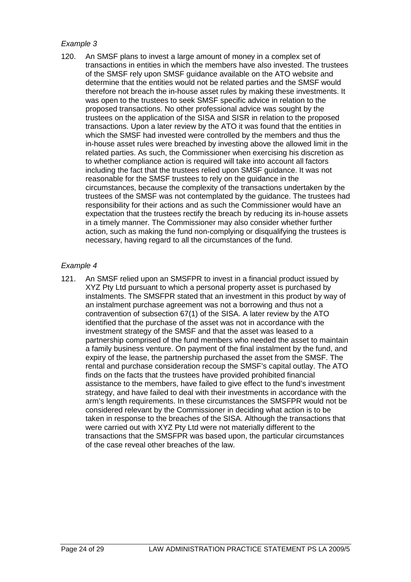120. An SMSF plans to invest a large amount of money in a complex set of transactions in entities in which the members have also invested. The trustees of the SMSF rely upon SMSF guidance available on the ATO website and determine that the entities would not be related parties and the SMSF would therefore not breach the in-house asset rules by making these investments. It was open to the trustees to seek SMSF specific advice in relation to the proposed transactions. No other professional advice was sought by the trustees on the application of the SISA and SISR in relation to the proposed transactions. Upon a later review by the ATO it was found that the entities in which the SMSF had invested were controlled by the members and thus the in-house asset rules were breached by investing above the allowed limit in the related parties. As such, the Commissioner when exercising his discretion as to whether compliance action is required will take into account all factors including the fact that the trustees relied upon SMSF guidance. It was not reasonable for the SMSF trustees to rely on the guidance in the circumstances, because the complexity of the transactions undertaken by the trustees of the SMSF was not contemplated by the guidance. The trustees had responsibility for their actions and as such the Commissioner would have an expectation that the trustees rectify the breach by reducing its in-house assets in a timely manner. The Commissioner may also consider whether further action, such as making the fund non-complying or disqualifying the trustees is necessary, having regard to all the circumstances of the fund.

#### Example 4

121. An SMSF relied upon an SMSFPR to invest in a financial product issued by XYZ Pty Ltd pursuant to which a personal property asset is purchased by instalments. The SMSFPR stated that an investment in this product by way of an instalment purchase agreement was not a borrowing and thus not a contravention of subsection 67(1) of the SISA. A later review by the ATO identified that the purchase of the asset was not in accordance with the investment strategy of the SMSF and that the asset was leased to a partnership comprised of the fund members who needed the asset to maintain a family business venture. On payment of the final instalment by the fund, and expiry of the lease, the partnership purchased the asset from the SMSF. The rental and purchase consideration recoup the SMSF's capital outlay. The ATO finds on the facts that the trustees have provided prohibited financial assistance to the members, have failed to give effect to the fund's investment strategy, and have failed to deal with their investments in accordance with the arm's length requirements. In these circumstances the SMSFPR would not be considered relevant by the Commissioner in deciding what action is to be taken in response to the breaches of the SISA. Although the transactions that were carried out with XYZ Pty Ltd were not materially different to the transactions that the SMSFPR was based upon, the particular circumstances of the case reveal other breaches of the law.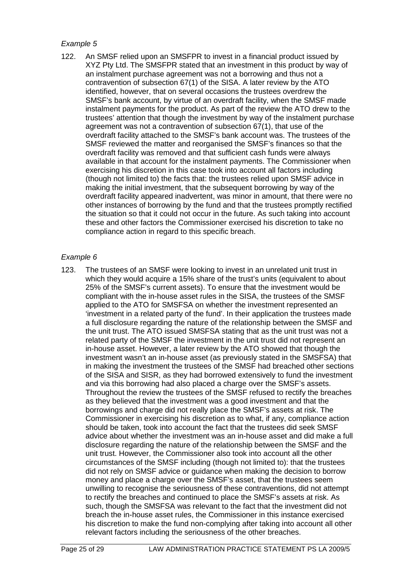122. An SMSF relied upon an SMSFPR to invest in a financial product issued by XYZ Pty Ltd. The SMSFPR stated that an investment in this product by way of an instalment purchase agreement was not a borrowing and thus not a contravention of subsection 67(1) of the SISA. A later review by the ATO identified, however, that on several occasions the trustees overdrew the SMSF's bank account, by virtue of an overdraft facility, when the SMSF made instalment payments for the product. As part of the review the ATO drew to the trustees' attention that though the investment by way of the instalment purchase agreement was not a contravention of subsection 67(1), that use of the overdraft facility attached to the SMSF's bank account was. The trustees of the SMSF reviewed the matter and reorganised the SMSF's finances so that the overdraft facility was removed and that sufficient cash funds were always available in that account for the instalment payments. The Commissioner when exercising his discretion in this case took into account all factors including (though not limited to) the facts that: the trustees relied upon SMSF advice in making the initial investment, that the subsequent borrowing by way of the overdraft facility appeared inadvertent, was minor in amount, that there were no other instances of borrowing by the fund and that the trustees promptly rectified the situation so that it could not occur in the future. As such taking into account these and other factors the Commissioner exercised his discretion to take no compliance action in regard to this specific breach.

#### Example 6

123. The trustees of an SMSF were looking to invest in an unrelated unit trust in which they would acquire a 15% share of the trust's units (equivalent to about 25% of the SMSF's current assets). To ensure that the investment would be compliant with the in-house asset rules in the SISA, the trustees of the SMSF applied to the ATO for SMSFSA on whether the investment represented an 'investment in a related party of the fund'. In their application the trustees made a full disclosure regarding the nature of the relationship between the SMSF and the unit trust. The ATO issued SMSFSA stating that as the unit trust was not a related party of the SMSF the investment in the unit trust did not represent an in-house asset. However, a later review by the ATO showed that though the investment wasn't an in-house asset (as previously stated in the SMSFSA) that in making the investment the trustees of the SMSF had breached other sections of the SISA and SISR, as they had borrowed extensively to fund the investment and via this borrowing had also placed a charge over the SMSF's assets. Throughout the review the trustees of the SMSF refused to rectify the breaches as they believed that the investment was a good investment and that the borrowings and charge did not really place the SMSF's assets at risk. The Commissioner in exercising his discretion as to what, if any, compliance action should be taken, took into account the fact that the trustees did seek SMSF advice about whether the investment was an in-house asset and did make a full disclosure regarding the nature of the relationship between the SMSF and the unit trust. However, the Commissioner also took into account all the other circumstances of the SMSF including (though not limited to): that the trustees did not rely on SMSF advice or guidance when making the decision to borrow money and place a charge over the SMSF's asset, that the trustees seem unwilling to recognise the seriousness of these contraventions, did not attempt to rectify the breaches and continued to place the SMSF's assets at risk. As such, though the SMSFSA was relevant to the fact that the investment did not breach the in-house asset rules, the Commissioner in this instance exercised his discretion to make the fund non-complying after taking into account all other relevant factors including the seriousness of the other breaches.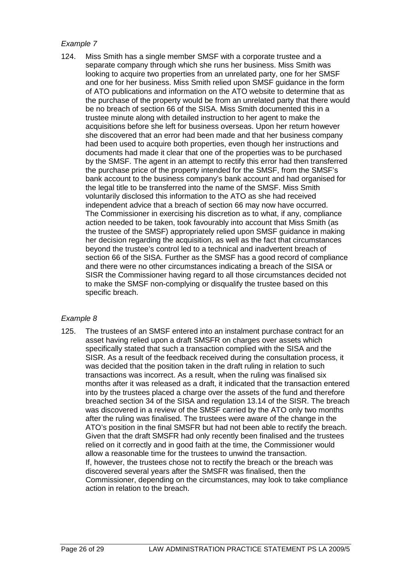124. Miss Smith has a single member SMSF with a corporate trustee and a separate company through which she runs her business. Miss Smith was looking to acquire two properties from an unrelated party, one for her SMSF and one for her business. Miss Smith relied upon SMSF guidance in the form of ATO publications and information on the ATO website to determine that as the purchase of the property would be from an unrelated party that there would be no breach of section 66 of the SISA. Miss Smith documented this in a trustee minute along with detailed instruction to her agent to make the acquisitions before she left for business overseas. Upon her return however she discovered that an error had been made and that her business company had been used to acquire both properties, even though her instructions and documents had made it clear that one of the properties was to be purchased by the SMSF. The agent in an attempt to rectify this error had then transferred the purchase price of the property intended for the SMSF, from the SMSF's bank account to the business company's bank account and had organised for the legal title to be transferred into the name of the SMSF. Miss Smith voluntarily disclosed this information to the ATO as she had received independent advice that a breach of section 66 may now have occurred. The Commissioner in exercising his discretion as to what, if any, compliance action needed to be taken, took favourably into account that Miss Smith (as the trustee of the SMSF) appropriately relied upon SMSF guidance in making her decision regarding the acquisition, as well as the fact that circumstances beyond the trustee's control led to a technical and inadvertent breach of section 66 of the SISA. Further as the SMSF has a good record of compliance and there were no other circumstances indicating a breach of the SISA or SISR the Commissioner having regard to all those circumstances decided not to make the SMSF non-complying or disqualify the trustee based on this specific breach.

## Example 8

125. The trustees of an SMSF entered into an instalment purchase contract for an asset having relied upon a draft SMSFR on charges over assets which specifically stated that such a transaction complied with the SISA and the SISR. As a result of the feedback received during the consultation process, it was decided that the position taken in the draft ruling in relation to such transactions was incorrect. As a result, when the ruling was finalised six months after it was released as a draft, it indicated that the transaction entered into by the trustees placed a charge over the assets of the fund and therefore breached section 34 of the SISA and regulation 13.14 of the SISR. The breach was discovered in a review of the SMSF carried by the ATO only two months after the ruling was finalised. The trustees were aware of the change in the ATO's position in the final SMSFR but had not been able to rectify the breach. Given that the draft SMSFR had only recently been finalised and the trustees relied on it correctly and in good faith at the time, the Commissioner would allow a reasonable time for the trustees to unwind the transaction. If, however, the trustees chose not to rectify the breach or the breach was discovered several years after the SMSFR was finalised, then the Commissioner, depending on the circumstances, may look to take compliance action in relation to the breach.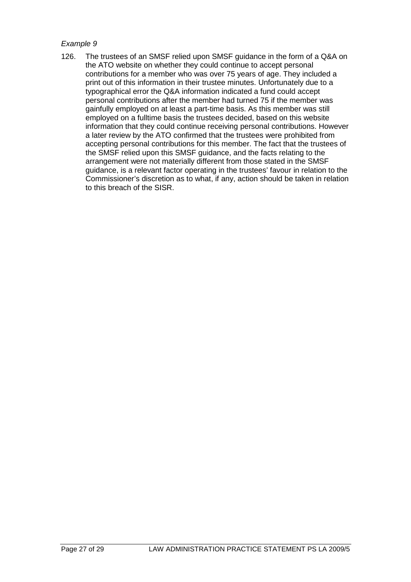126. The trustees of an SMSF relied upon SMSF guidance in the form of a Q&A on the ATO website on whether they could continue to accept personal contributions for a member who was over 75 years of age. They included a print out of this information in their trustee minutes. Unfortunately due to a typographical error the Q&A information indicated a fund could accept personal contributions after the member had turned 75 if the member was gainfully employed on at least a part-time basis. As this member was still employed on a fulltime basis the trustees decided, based on this website information that they could continue receiving personal contributions. However a later review by the ATO confirmed that the trustees were prohibited from accepting personal contributions for this member. The fact that the trustees of the SMSF relied upon this SMSF guidance, and the facts relating to the arrangement were not materially different from those stated in the SMSF guidance, is a relevant factor operating in the trustees' favour in relation to the Commissioner's discretion as to what, if any, action should be taken in relation to this breach of the SISR.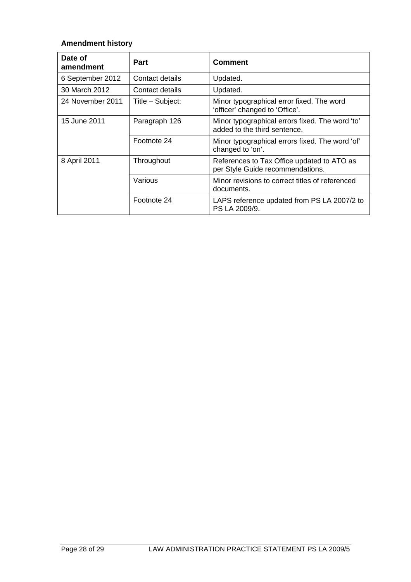# **Amendment history**

| Date of<br>amendment | Part             | <b>Comment</b>                                                                  |
|----------------------|------------------|---------------------------------------------------------------------------------|
| 6 September 2012     | Contact details  | Updated.                                                                        |
| 30 March 2012        | Contact details  | Updated.                                                                        |
| 24 November 2011     | Title - Subject: | Minor typographical error fixed. The word<br>'officer' changed to 'Office'.     |
| 15 June 2011         | Paragraph 126    | Minor typographical errors fixed. The word 'to'<br>added to the third sentence. |
|                      | Footnote 24      | Minor typographical errors fixed. The word 'of'<br>changed to 'on'.             |
| 8 April 2011         | Throughout       | References to Tax Office updated to ATO as<br>per Style Guide recommendations.  |
|                      | Various          | Minor revisions to correct titles of referenced<br>documents.                   |
|                      | Footnote 24      | LAPS reference updated from PS LA 2007/2 to<br>PS LA 2009/9.                    |